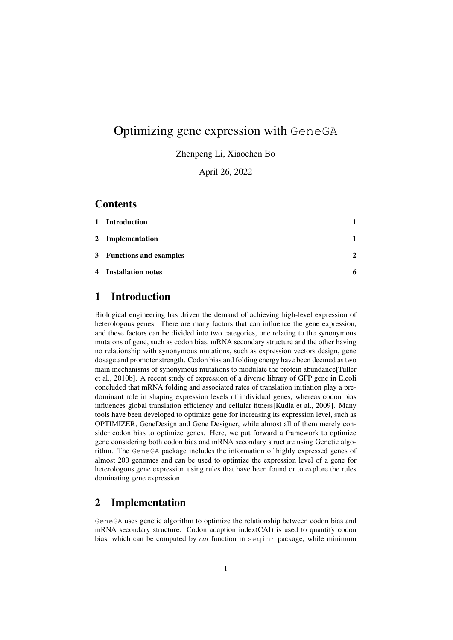# Optimizing gene expression with GeneGA

Zhenpeng Li, Xiaochen Bo

April 26, 2022

#### **Contents**

| 1 Introduction           |               |
|--------------------------|---------------|
| 2 Implementation         |               |
| 3 Functions and examples | $\mathcal{D}$ |
| 4 Installation notes     | 6             |

## 1 Introduction

Biological engineering has driven the demand of achieving high-level expression of heterologous genes. There are many factors that can influence the gene expression, and these factors can be divided into two categories, one relating to the synonymous mutaions of gene, such as codon bias, mRNA secondary structure and the other having no relationship with synonymous mutations, such as expression vectors design, gene dosage and promoter strength. Codon bias and folding energy have been deemed as two main mechanisms of synonymous mutations to modulate the protein abundance[Tuller et al., 2010b]. A recent study of expression of a diverse library of GFP gene in E.coli concluded that mRNA folding and associated rates of translation initiation play a predominant role in shaping expression levels of individual genes, whereas codon bias influences global translation efficiency and cellular fitness[Kudla et al., 2009]. Many tools have been developed to optimize gene for increasing its expression level, such as OPTIMIZER, GeneDesign and Gene Designer, while almost all of them merely consider codon bias to optimize genes. Here, we put forward a framework to optimize gene considering both codon bias and mRNA secondary structure using Genetic algorithm. The GeneGA package includes the information of highly expressed genes of almost 200 genomes and can be used to optimize the expression level of a gene for heterologous gene expression using rules that have been found or to explore the rules dominating gene expression.

#### 2 Implementation

GeneGA uses genetic algorithm to optimize the relationship between codon bias and mRNA secondary structure. Codon adaption index(CAI) is used to quantify codon bias, which can be computed by *cai* function in seqinr package, while minimum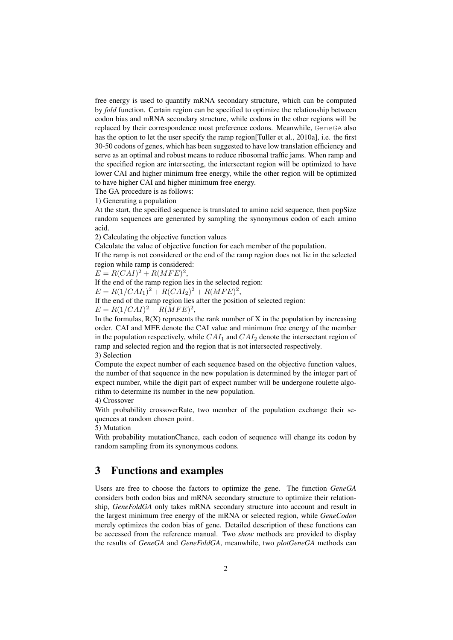free energy is used to quantify mRNA secondary structure, which can be computed by *fold* function. Certain region can be specified to optimize the relationship between codon bias and mRNA secondary structure, while codons in the other regions will be replaced by their correspondence most preference codons. Meanwhile, GeneGA also has the option to let the user specify the ramp region[Tuller et al., 2010a], i.e. the first 30-50 codons of genes, which has been suggested to have low translation efficiency and serve as an optimal and robust means to reduce ribosomal traffic jams. When ramp and the specified region are intersecting, the intersectant region will be optimized to have lower CAI and higher minimum free energy, while the other region will be optimized to have higher CAI and higher minimum free energy.

The GA procedure is as follows:

1) Generating a population

At the start, the specified sequence is translated to amino acid sequence, then popSize random sequences are generated by sampling the synonymous codon of each amino acid.

2) Calculating the objective function values

Calculate the value of objective function for each member of the population.

If the ramp is not considered or the end of the ramp region does not lie in the selected region while ramp is considered:

 $E = R(CAI)^{2} + R(MFE)^{2},$ 

If the end of the ramp region lies in the selected region:

 $E = R(1/CAI<sub>1</sub>)<sup>2</sup> + R(CAI<sub>2</sub>)<sup>2</sup> + R(MFE)<sup>2</sup>,$ 

If the end of the ramp region lies after the position of selected region:

 $E = R(1/CAI)^{2} + R(MFE)^{2},$ 

In the formulas,  $R(X)$  represents the rank number of X in the population by increasing order. CAI and MFE denote the CAI value and minimum free energy of the member in the population respectively, while  $CAI<sub>1</sub>$  and  $CAI<sub>2</sub>$  denote the intersectant region of ramp and selected region and the region that is not intersected respectively. 3) Selection

Compute the expect number of each sequence based on the objective function values, the number of that sequence in the new population is determined by the integer part of expect number, while the digit part of expect number will be undergone roulette algorithm to determine its number in the new population.

4) Crossover

With probability crossoverRate, two member of the population exchange their sequences at random chosen point.

5) Mutation

With probability mutationChance, each codon of sequence will change its codon by random sampling from its synonymous codons.

### 3 Functions and examples

Users are free to choose the factors to optimize the gene. The function *GeneGA* considers both codon bias and mRNA secondary structure to optimize their relationship, *GeneFoldGA* only takes mRNA secondary structure into account and result in the largest minimum free energy of the mRNA or selected region, while *GeneCodon* merely optimizes the codon bias of gene. Detailed description of these functions can be accessed from the reference manual. Two *show* methods are provided to display the results of *GeneGA* and *GeneFoldGA*, meanwhile, two *plotGeneGA* methods can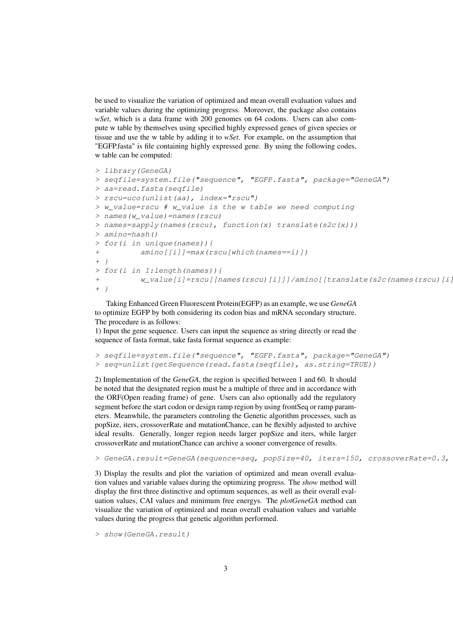be used to visualize the variation of optimized and mean overall evaluation values and variable values during the optimizing progress. Moreover, the package also contains *wSet*, which is a data frame with 200 genomes on 64 codons. Users can also compute w table by themselves using specified highly expressed genes of given species or tissue and use the w table by adding it to *wSet*. For example, on the assumption that "EGFP.fasta" is file containing highly expressed gene. By using the following codes, w table can be computed:

```
> library(GeneGA)
> seqfile=system.file("sequence", "EGFP.fasta", package="GeneGA")
> aa=read.fasta(seqfile)
> rscu=uco(unlist(aa), index="rscu")
> w_value=rscu # w_value is the w table we need computing
> names(w_value)=names(rscu)
> names=sapply(names(rscu), function(x) translate(s2c(x)))
> amino=hash()
> for(i in unique(names)){
+ amino[[i]]=max(rscu[which(names==i)])
+ }
> for(i in 1:length(names)){
+ w_value[i]=rscu[[names(rscu)[i]]]/amino[[translate(s2c(names(rscu)[i])]
+ }
```
Taking Enhanced Green Fluorescent Protein(EGFP) as an example, we use *GeneGA* to optimize EGFP by both considering its codon bias and mRNA secondary structure. The procedure is as follows:

1) Input the gene sequence. Users can input the sequence as string directly or read the sequence of fasta format, take fasta format sequence as example:

```
> seqfile=system.file("sequence", "EGFP.fasta", package="GeneGA")
> seq=unlist(getSequence(read.fasta(seqfile), as.string=TRUE))
```
2) Implementation of the *GeneGA*, the region is specified between 1 and 60. It should be noted that the designated region must be a multiple of three and in accordance with the ORF(Open reading frame) of gene. Users can also optionally add the regulatory segment before the start codon or design ramp region by using frontSeq or ramp parameters. Meanwhile, the parameters controling the Genetic algorithm processes, such as popSize, iters, crossoverRate and mutationChance, can be flexibly adjusted to archive ideal results. Generally, longer region needs larger popSize and iters, while larger crossoverRate and mutationChance can archive a sooner convergence of results.

```
> GeneGA.result=GeneGA(sequence=seq, popSize=40, iters=150, crossoverRate=0.3,
```
3) Display the results and plot the variation of optimized and mean overall evaluation values and variable values during the optimizing progress. The *show* method will display the first three distinctive and optimum sequences, as well as their overall evaluation values, CAI values and minimum free energys. The *plotGeneGA* method can visualize the variation of optimized and mean overall evaluation values and variable values during the progress that genetic algorithm performed.

> show(GeneGA.result)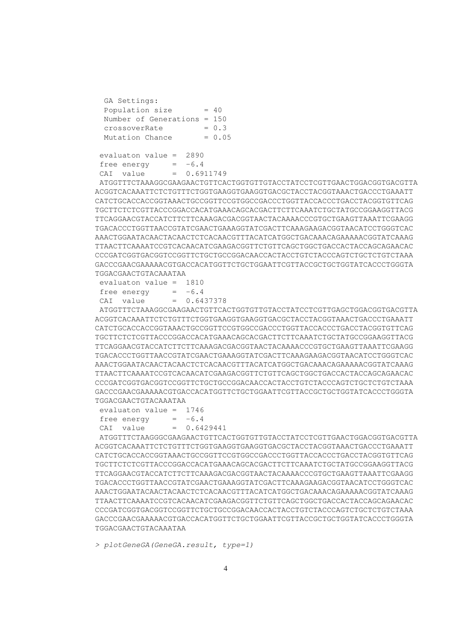| GA Settings:                  |          |
|-------------------------------|----------|
| Population size               | $= 40$   |
| Number of Generations = $150$ |          |
| crossoverRate                 | $= 0.3$  |
| Mutation Chance               | $= 0.05$ |
|                               |          |

evaluaton value = 2890 free energy  $= -6.4$ CAI value = 0.6911749

ATGGTTTCTAAAGGCGAAGAACTGTTCACTGGTGTTGTACCTATCCTCGTTGAACTGGACGGTGACGTTA ACGGTCACAAATTCTCTGTTTCTGGTGAAGGTGAAGGTGACGCTACCTACGGTAAACTGACCCTGAAATT CATCTGCACCACCGGTAAACTGCCGGTTCCGTGGCCGACCCTGGTTACCACCCTGACCTACGGTGTTCAG TGCTTCTCTCGTTACCCGGACCACATGAAACAGCACGACTTCTTCAAATCTGCTATGCCGGAAGGTTACG TTCAGGAACGTACCATCTTCTTCAAAGACGACGGTAACTACAAAACCCGTGCTGAAGTTAAATTCGAAGG TGACACCCTGGTTAACCGTATCGAACTGAAAGGTATCGACTTCAAAGAAGACGGTAACATCCTGGGTCAC AAACTGGAATACAACTACAACTCTCACAACGTTTACATCATGGCTGACAAACAGAAAAACGGTATCAAAG TTAACTTCAAAATCCGTCACAACATCGAAGACGGTTCTGTTCAGCTGGCTGACCACTACCAGCAGAACAC CCCGATCGGTGACGGTCCGGTTCTGCTGCCGGACAACCACTACCTGTCTACCCAGTCTGCTCTGTCTAAA GACCCGAACGAAAAACGTGACCACATGGTTCTGCTGGAATTCGTTACCGCTGCTGGTATCACCCTGGGTA TGGACGAACTGTACAAATAA

|             | evaluaton value = $1810$ |               |
|-------------|--------------------------|---------------|
| free energy |                          | $= -6.4$      |
| CAI value   |                          | $= 0.6437378$ |

ATGGTTTCTAAAGGCGAAGAACTGTTCACTGGTGTTGTACCTATCCTCGTTGAGCTGGACGGTGACGTTA ACGGTCACAAATTCTCTGTTTCTGGTGAAGGTGAAGGTGACGCTACCTACGGTAAACTGACCCTGAAATT CATCTGCACCACCGGTAAACTGCCGGTTCCGTGGCCGACCCTGGTTACCACCCTGACCTACGGTGTTCAG TGCTTCTCTCGTTACCCGGACCACATGAAACAGCACGACTTCTTCAAATCTGCTATGCCGGAAGGTTACG TTCAGGAACGTACCATCTTCTTCAAAGACGACGGTAACTACAAAACCCGTGCTGAAGTTAAATTCGAAGG TGACACCCTGGTTAACCGTATCGAACTGAAAGGTATCGACTTCAAAGAAGACGGTAACATCCTGGGTCAC AAACTGGAATACAACTACAACTCTCACAACGTTTACATCATGGCTGACAAACAGAAAAACGGTATCAAAG TTAACTTCAAAATCCGTCACAACATCGAAGACGGTTCTGTTCAGCTGGCTGACCACTACCAGCAGAACAC CCCGATCGGTGACGGTCCGGTTCTGCTGCCGGACAACCACTACCTGTCTACCCAGTCTGCTCTGTCTAAA GACCCGAACGAAAAACGTGACCACATGGTTCTGCTGGAATTCGTTACCGCTGCTGGTATCACCCTGGGTA TGGACGAACTGTACAAATAA

evaluaton value = 1746 free energy  $= -6.4$  $CAI$  value =  $0.6429441$ 

ATGGTTTCTAAGGGCGAAGAACTGTTCACTGGTGTTGTACCTATCCTCGTTGAACTGGACGGTGACGTTA ACGGTCACAAATTCTCTGTTTCTGGTGAAGGTGAAGGTGACGCTACCTACGGTAAACTGACCCTGAAATT CATCTGCACCACCGGTAAACTGCCGGTTCCGTGGCCGACCCTGGTTACCACCCTGACCTACGGTGTTCAG TGCTTCTCTCGTTACCCGGACCACATGAAACAGCACGACTTCTTCAAATCTGCTATGCCGGAAGGTTACG TTCAGGAACGTACCATCTTCTTCAAAGACGACGGTAACTACAAAACCCGTGCTGAAGTTAAATTCGAAGG TGACACCCTGGTTAACCGTATCGAACTGAAAGGTATCGACTTCAAAGAAGACGGTAACATCCTGGGTCAC AAACTGGAATACAACTACAACTCTCACAACGTTTACATCATGGCTGACAAACAGAAAAACGGTATCAAAG TTAACTTCAAAATCCGTCACAACATCGAAGACGGTTCTGTTCAGCTGGCTGACCACTACCAGCAGAACAC CCCGATCGGTGACGGTCCGGTTCTGCTGCCGGACAACCACTACCTGTCTACCCAGTCTGCTCTGTCTAAA GACCCGAACGAAAAACGTGACCACATGGTTCTGCTGGAATTCGTTACCGCTGCTGGTATCACCCTGGGTA TGGACGAACTGTACAAATAA

> plotGeneGA(GeneGA.result, type=1)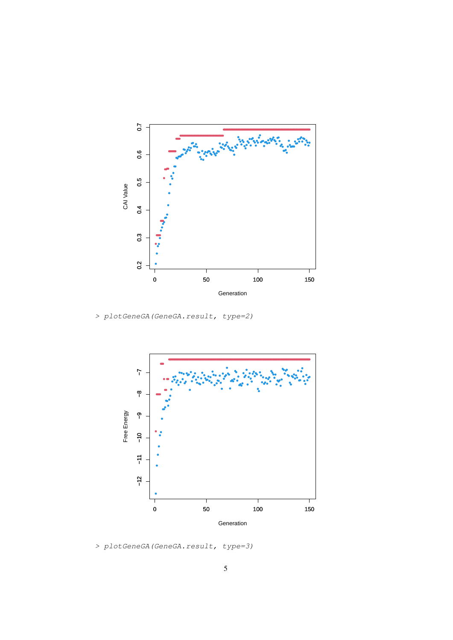

> plotGeneGA(GeneGA.result, type=2)



> plotGeneGA(GeneGA.result, type=3)